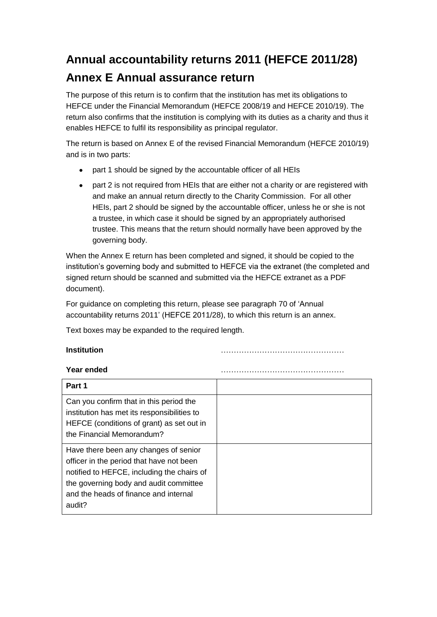## **Annual accountability returns 2011 (HEFCE 2011/28) Annex E Annual assurance return**

The purpose of this return is to confirm that the institution has met its obligations to HEFCE under the Financial Memorandum (HEFCE 2008/19 and HEFCE 2010/19). The return also confirms that the institution is complying with its duties as a charity and thus it enables HEFCE to fulfil its responsibility as principal regulator.

The return is based on Annex E of the revised Financial Memorandum (HEFCE 2010/19) and is in two parts:

- part 1 should be signed by the accountable officer of all HEIs
- part 2 is not required from HEIs that are either not a charity or are registered with  $\bullet$ and make an annual return directly to the Charity Commission. For all other HEIs, part 2 should be signed by the accountable officer, unless he or she is not a trustee, in which case it should be signed by an appropriately authorised trustee. This means that the return should normally have been approved by the governing body.

When the Annex E return has been completed and signed, it should be copied to the institution's governing body and submitted to HEFCE via the extranet (the completed and signed return should be scanned and submitted via the HEFCE extranet as a PDF document).

For guidance on completing this return, please see paragraph 70 of 'Annual accountability returns 2011' (HEFCE 2011/28), to which this return is an annex.

Text boxes may be expanded to the required length.

**Institution** …………………………………………

## **Year ended** …………………………………………

| Part 1                                                                                                                                                                                                                       |  |
|------------------------------------------------------------------------------------------------------------------------------------------------------------------------------------------------------------------------------|--|
| Can you confirm that in this period the<br>institution has met its responsibilities to<br>HEFCE (conditions of grant) as set out in<br>the Financial Memorandum?                                                             |  |
| Have there been any changes of senior<br>officer in the period that have not been<br>notified to HEFCE, including the chairs of<br>the governing body and audit committee<br>and the heads of finance and internal<br>audit? |  |